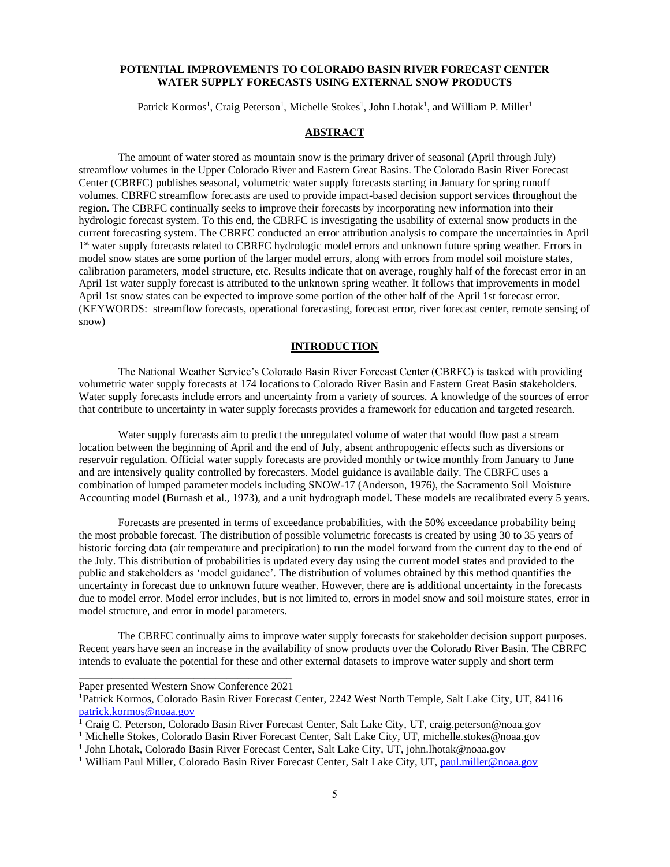### **POTENTIAL IMPROVEMENTS TO COLORADO BASIN RIVER FORECAST CENTER WATER SUPPLY FORECASTS USING EXTERNAL SNOW PRODUCTS**

Patrick Kormos<sup>1</sup>, Craig Peterson<sup>1</sup>, Michelle Stokes<sup>1</sup>, John Lhotak<sup>1</sup>, and William P. Miller<sup>1</sup>

# **ABSTRACT**

The amount of water stored as mountain snow is the primary driver of seasonal (April through July) streamflow volumes in the Upper Colorado River and Eastern Great Basins. The Colorado Basin River Forecast Center (CBRFC) publishes seasonal, volumetric water supply forecasts starting in January for spring runoff volumes. CBRFC streamflow forecasts are used to provide impact-based decision support services throughout the region. The CBRFC continually seeks to improve their forecasts by incorporating new information into their hydrologic forecast system. To this end, the CBRFC is investigating the usability of external snow products in the current forecasting system. The CBRFC conducted an error attribution analysis to compare the uncertainties in April 1<sup>st</sup> water supply forecasts related to CBRFC hydrologic model errors and unknown future spring weather. Errors in model snow states are some portion of the larger model errors, along with errors from model soil moisture states, calibration parameters, model structure, etc. Results indicate that on average, roughly half of the forecast error in an April 1st water supply forecast is attributed to the unknown spring weather. It follows that improvements in model April 1st snow states can be expected to improve some portion of the other half of the April 1st forecast error. (KEYWORDS: streamflow forecasts, operational forecasting, forecast error, river forecast center, remote sensing of snow)

### **INTRODUCTION**

The National Weather Service's Colorado Basin River Forecast Center (CBRFC) is tasked with providing volumetric water supply forecasts at 174 locations to Colorado River Basin and Eastern Great Basin stakeholders. Water supply forecasts include errors and uncertainty from a variety of sources. A knowledge of the sources of error that contribute to uncertainty in water supply forecasts provides a framework for education and targeted research.

Water supply forecasts aim to predict the unregulated volume of water that would flow past a stream location between the beginning of April and the end of July, absent anthropogenic effects such as diversions or reservoir regulation. Official water supply forecasts are provided monthly or twice monthly from January to June and are intensively quality controlled by forecasters. Model guidance is available daily. The CBRFC uses a combination of lumped parameter models including SNOW-17 (Anderson, 1976), the Sacramento Soil Moisture Accounting model (Burnash et al., 1973), and a unit hydrograph model. These models are recalibrated every 5 years.

Forecasts are presented in terms of exceedance probabilities, with the 50% exceedance probability being the most probable forecast. The distribution of possible volumetric forecasts is created by using 30 to 35 years of historic forcing data (air temperature and precipitation) to run the model forward from the current day to the end of the July. This distribution of probabilities is updated every day using the current model states and provided to the public and stakeholders as 'model guidance'. The distribution of volumes obtained by this method quantifies the uncertainty in forecast due to unknown future weather. However, there are is additional uncertainty in the forecasts due to model error. Model error includes, but is not limited to, errors in model snow and soil moisture states, error in model structure, and error in model parameters.

The CBRFC continually aims to improve water supply forecasts for stakeholder decision support purposes. Recent years have seen an increase in the availability of snow products over the Colorado River Basin. The CBRFC intends to evaluate the potential for these and other external datasets to improve water supply and short term

\_\_\_\_\_\_\_\_\_\_\_\_\_\_\_\_\_\_\_\_\_\_\_\_\_\_\_\_\_\_\_\_\_\_\_\_\_\_\_ Paper presented Western Snow Conference 2021

<sup>&</sup>lt;sup>1</sup>Patrick Kormos, Colorado Basin River Forecast Center, 2242 West North Temple, Salt Lake City, UT, 84116 [patrick.kormos@noaa.gov](file:///C:/Users/Patrick.Kormos/Documents/patrick.kormos@noaa.gov)

<sup>&</sup>lt;sup>1</sup> Craig C. Peterson, Colorado Basin River Forecast Center, Salt Lake City, UT, craig.peterson@noaa.gov

<sup>&</sup>lt;sup>1</sup> Michelle Stokes, Colorado Basin River Forecast Center, Salt Lake City, UT, michelle.stokes@noaa.gov

<sup>&</sup>lt;sup>1</sup> John Lhotak, Colorado Basin River Forecast Center, Salt Lake City, UT, john.lhotak@noaa.gov

<sup>&</sup>lt;sup>1</sup> William Paul Miller, Colorado Basin River Forecast Center, Salt Lake City, UT, [paul.miller@noaa.gov](mailto:paul.miller@noaa.gov)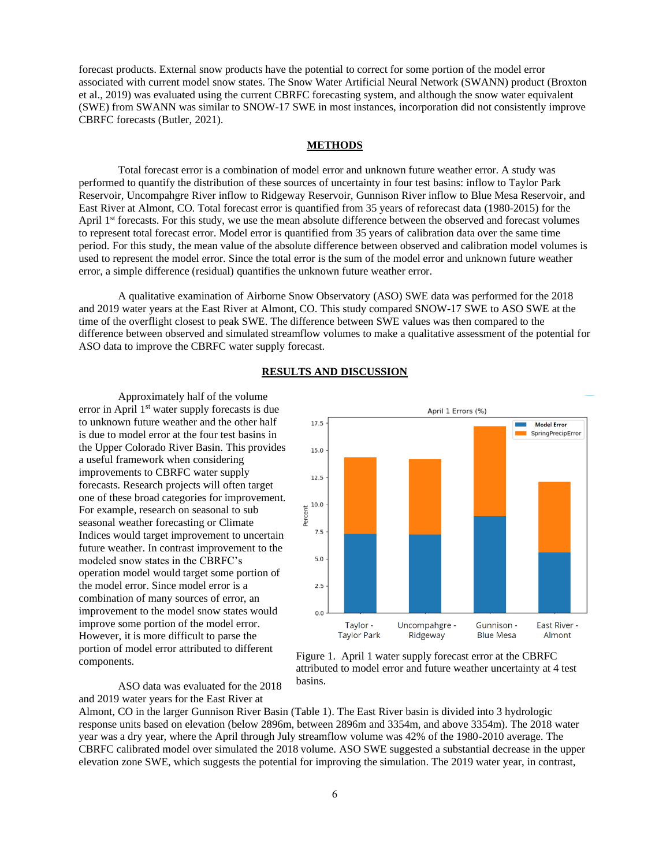forecast products. External snow products have the potential to correct for some portion of the model error associated with current model snow states. The Snow Water Artificial Neural Network (SWANN) product (Broxton et al., 2019) was evaluated using the current CBRFC forecasting system, and although the snow water equivalent (SWE) from SWANN was similar to SNOW-17 SWE in most instances, incorporation did not consistently improve CBRFC forecasts (Butler, 2021).

## **METHODS**

Total forecast error is a combination of model error and unknown future weather error. A study was performed to quantify the distribution of these sources of uncertainty in four test basins: inflow to Taylor Park Reservoir, Uncompahgre River inflow to Ridgeway Reservoir, Gunnison River inflow to Blue Mesa Reservoir, and East River at Almont, CO. Total forecast error is quantified from 35 years of reforecast data (1980-2015) for the April 1<sup>st</sup> forecasts. For this study, we use the mean absolute difference between the observed and forecast volumes to represent total forecast error. Model error is quantified from 35 years of calibration data over the same time period. For this study, the mean value of the absolute difference between observed and calibration model volumes is used to represent the model error. Since the total error is the sum of the model error and unknown future weather error, a simple difference (residual) quantifies the unknown future weather error.

A qualitative examination of Airborne Snow Observatory (ASO) SWE data was performed for the 2018 and 2019 water years at the East River at Almont, CO. This study compared SNOW-17 SWE to ASO SWE at the time of the overflight closest to peak SWE. The difference between SWE values was then compared to the difference between observed and simulated streamflow volumes to make a qualitative assessment of the potential for ASO data to improve the CBRFC water supply forecast.

#### **RESULTS AND DISCUSSION**

Approximately half of the volume error in April 1<sup>st</sup> water supply forecasts is due to unknown future weather and the other half is due to model error at the four test basins in the Upper Colorado River Basin. This provides a useful framework when considering improvements to CBRFC water supply forecasts. Research projects will often target one of these broad categories for improvement. For example, research on seasonal to sub seasonal weather forecasting or Climate Indices would target improvement to uncertain future weather. In contrast improvement to the modeled snow states in the CBRFC's operation model would target some portion of the model error. Since model error is a combination of many sources of error, an improvement to the model snow states would improve some portion of the model error. However, it is more difficult to parse the portion of model error attributed to different components.

ASO data was evaluated for the 2018 and 2019 water years for the East River at



Figure 1. April 1 water supply forecast error at the CBRFC attributed to model error and future weather uncertainty at 4 test basins.

Almont, CO in the larger Gunnison River Basin (Table 1). The East River basin is divided into 3 hydrologic response units based on elevation (below 2896m, between 2896m and 3354m, and above 3354m). The 2018 water year was a dry year, where the April through July streamflow volume was 42% of the 1980-2010 average. The CBRFC calibrated model over simulated the 2018 volume. ASO SWE suggested a substantial decrease in the upper elevation zone SWE, which suggests the potential for improving the simulation. The 2019 water year, in contrast,